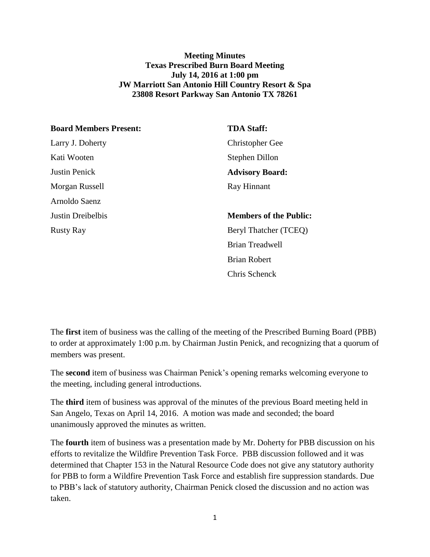## **Meeting Minutes Texas Prescribed Burn Board Meeting July 14, 2016 at 1:00 pm JW Marriott San Antonio Hill Country Resort & Spa 23808 Resort Parkway San Antonio TX 78261**

| <b>Board Members Present:</b> | <b>TDA Staff:</b>             |
|-------------------------------|-------------------------------|
| Larry J. Doherty              | <b>Christopher Gee</b>        |
| Kati Wooten                   | Stephen Dillon                |
| <b>Justin Penick</b>          | <b>Advisory Board:</b>        |
| Morgan Russell                | Ray Hinnant                   |
| Arnoldo Saenz                 |                               |
| Justin Dreibelbis             | <b>Members of the Public:</b> |
| <b>Rusty Ray</b>              | Beryl Thatcher (TCEQ)         |
|                               | <b>Brian Treadwell</b>        |
|                               | <b>Brian Robert</b>           |
|                               | Chris Schenck                 |

The **first** item of business was the calling of the meeting of the Prescribed Burning Board (PBB) to order at approximately 1:00 p.m. by Chairman Justin Penick, and recognizing that a quorum of members was present.

The **second** item of business was Chairman Penick's opening remarks welcoming everyone to the meeting, including general introductions.

The **third** item of business was approval of the minutes of the previous Board meeting held in San Angelo, Texas on April 14, 2016. A motion was made and seconded; the board unanimously approved the minutes as written.

The **fourth** item of business was a presentation made by Mr. Doherty for PBB discussion on his efforts to revitalize the Wildfire Prevention Task Force. PBB discussion followed and it was determined that Chapter 153 in the Natural Resource Code does not give any statutory authority for PBB to form a Wildfire Prevention Task Force and establish fire suppression standards. Due to PBB's lack of statutory authority, Chairman Penick closed the discussion and no action was taken.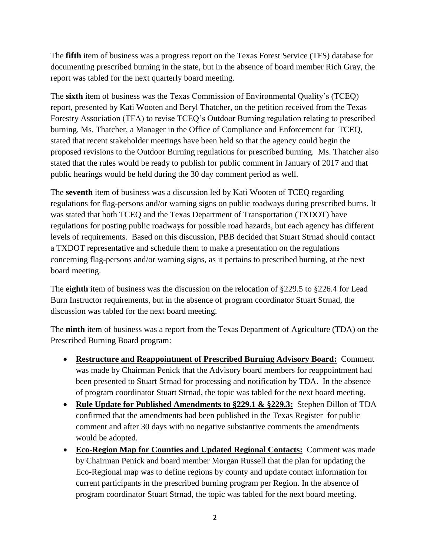The **fifth** item of business was a progress report on the Texas Forest Service (TFS) database for documenting prescribed burning in the state, but in the absence of board member Rich Gray, the report was tabled for the next quarterly board meeting.

The **sixth** item of business was the Texas Commission of Environmental Quality's (TCEQ) report, presented by Kati Wooten and Beryl Thatcher, on the petition received from the Texas Forestry Association (TFA) to revise TCEQ's Outdoor Burning regulation relating to prescribed burning. Ms. Thatcher, a Manager in the Office of Compliance and Enforcement for TCEQ, stated that recent stakeholder meetings have been held so that the agency could begin the proposed revisions to the Outdoor Burning regulations for prescribed burning. Ms. Thatcher also stated that the rules would be ready to publish for public comment in January of 2017 and that public hearings would be held during the 30 day comment period as well.

The **seventh** item of business was a discussion led by Kati Wooten of TCEQ regarding regulations for flag-persons and/or warning signs on public roadways during prescribed burns. It was stated that both TCEQ and the Texas Department of Transportation (TXDOT) have regulations for posting public roadways for possible road hazards, but each agency has different levels of requirements. Based on this discussion, PBB decided that Stuart Strnad should contact a TXDOT representative and schedule them to make a presentation on the regulations concerning flag-persons and/or warning signs, as it pertains to prescribed burning, at the next board meeting.

The **eighth** item of business was the discussion on the relocation of §229.5 to §226.4 for Lead Burn Instructor requirements, but in the absence of program coordinator Stuart Strnad, the discussion was tabled for the next board meeting.

The **ninth** item of business was a report from the Texas Department of Agriculture (TDA) on the Prescribed Burning Board program:

- **Restructure and Reappointment of Prescribed Burning Advisory Board:** Comment was made by Chairman Penick that the Advisory board members for reappointment had been presented to Stuart Strnad for processing and notification by TDA. In the absence of program coordinator Stuart Strnad, the topic was tabled for the next board meeting.
- **Rule Update for Published Amendments to §229.1 & §229.3:** Stephen Dillon of TDA confirmed that the amendments had been published in the Texas Register for public comment and after 30 days with no negative substantive comments the amendments would be adopted.
- **Eco-Region Map for Counties and Updated Regional Contacts:** Comment was made by Chairman Penick and board member Morgan Russell that the plan for updating the Eco-Regional map was to define regions by county and update contact information for current participants in the prescribed burning program per Region. In the absence of program coordinator Stuart Strnad, the topic was tabled for the next board meeting.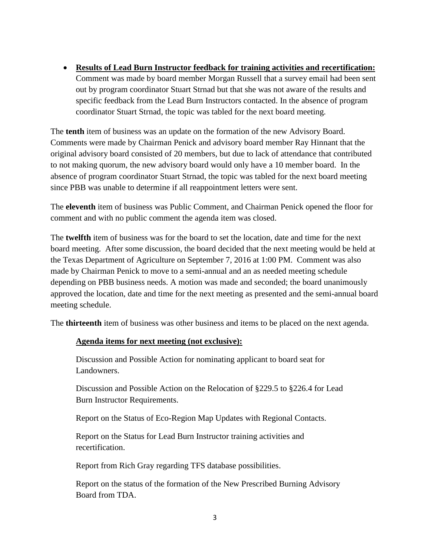**Results of Lead Burn Instructor feedback for training activities and recertification:** Comment was made by board member Morgan Russell that a survey email had been sent out by program coordinator Stuart Strnad but that she was not aware of the results and specific feedback from the Lead Burn Instructors contacted. In the absence of program coordinator Stuart Strnad, the topic was tabled for the next board meeting.

The **tenth** item of business was an update on the formation of the new Advisory Board. Comments were made by Chairman Penick and advisory board member Ray Hinnant that the original advisory board consisted of 20 members, but due to lack of attendance that contributed to not making quorum, the new advisory board would only have a 10 member board. In the absence of program coordinator Stuart Strnad, the topic was tabled for the next board meeting since PBB was unable to determine if all reappointment letters were sent.

The **eleventh** item of business was Public Comment, and Chairman Penick opened the floor for comment and with no public comment the agenda item was closed.

The **twelfth** item of business was for the board to set the location, date and time for the next board meeting. After some discussion, the board decided that the next meeting would be held at the Texas Department of Agriculture on September 7, 2016 at 1:00 PM. Comment was also made by Chairman Penick to move to a semi-annual and an as needed meeting schedule depending on PBB business needs. A motion was made and seconded; the board unanimously approved the location, date and time for the next meeting as presented and the semi-annual board meeting schedule.

The **thirteenth** item of business was other business and items to be placed on the next agenda.

## **Agenda items for next meeting (not exclusive):**

Discussion and Possible Action for nominating applicant to board seat for Landowners.

Discussion and Possible Action on the Relocation of §229.5 to §226.4 for Lead Burn Instructor Requirements.

Report on the Status of Eco-Region Map Updates with Regional Contacts.

Report on the Status for Lead Burn Instructor training activities and recertification.

Report from Rich Gray regarding TFS database possibilities.

Report on the status of the formation of the New Prescribed Burning Advisory Board from TDA.